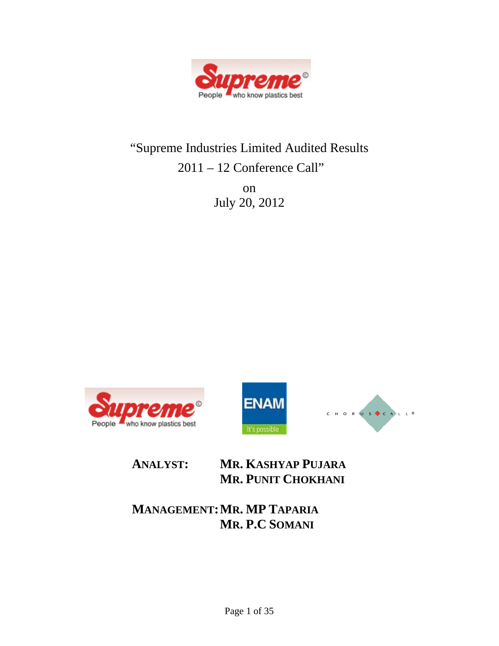

## "Supreme Industries Limited Audited Results 2011 – 12 Conference Call"

on July 20, 2012







**ANALYST: MR. KASHYAP PUJARA MR. PUNIT CHOKHANI**

**MANAGEMENT:MR. MP TAPARIA MR. P.C SOMANI**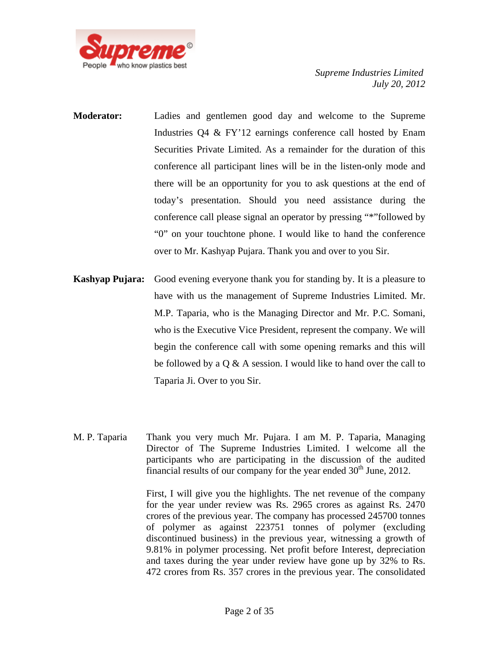

- **Moderator:** Ladies and gentlemen good day and welcome to the Supreme Industries Q4 & FY'12 earnings conference call hosted by Enam Securities Private Limited. As a remainder for the duration of this conference all participant lines will be in the listen-only mode and there will be an opportunity for you to ask questions at the end of today's presentation. Should you need assistance during the conference call please signal an operator by pressing "\*"followed by "0" on your touchtone phone. I would like to hand the conference over to Mr. Kashyap Pujara. Thank you and over to you Sir.
- **Kashyap Pujara:** Good evening everyone thank you for standing by. It is a pleasure to have with us the management of Supreme Industries Limited. Mr. M.P. Taparia, who is the Managing Director and Mr. P.C. Somani, who is the Executive Vice President, represent the company. We will begin the conference call with some opening remarks and this will be followed by a  $Q \& A$  session. I would like to hand over the call to Taparia Ji. Over to you Sir.
- M. P. Taparia Thank you very much Mr. Pujara. I am M. P. Taparia, Managing Director of The Supreme Industries Limited. I welcome all the participants who are participating in the discussion of the audited financial results of our company for the year ended  $30<sup>th</sup>$  June, 2012.

First, I will give you the highlights. The net revenue of the company for the year under review was Rs. 2965 crores as against Rs. 2470 crores of the previous year. The company has processed 245700 tonnes of polymer as against 223751 tonnes of polymer (excluding discontinued business) in the previous year, witnessing a growth of 9.81% in polymer processing. Net profit before Interest, depreciation and taxes during the year under review have gone up by 32% to Rs. 472 crores from Rs. 357 crores in the previous year. The consolidated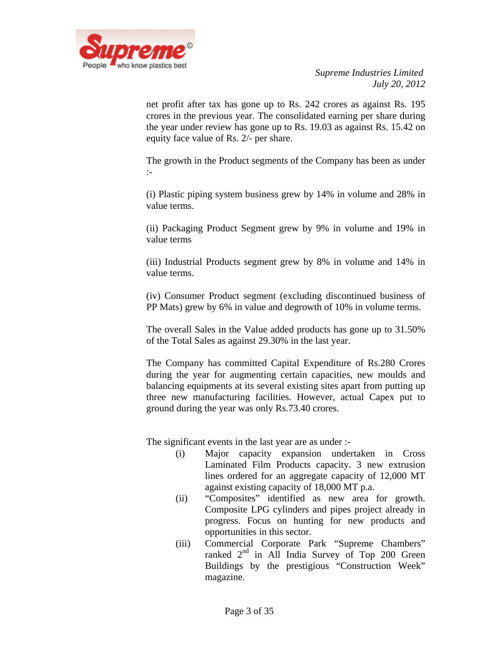

net profit after tax has gone up to Rs. 242 crores as against Rs. 195 crores in the previous year. The consolidated earning per share during the year under review has gone up to Rs. 19.03 as against Rs. 15.42 on equity face value of Rs. 2/- per share.

The growth in the Product segments of the Company has been as under :-

(i) Plastic piping system business grew by 14% in volume and 28% in value terms.

(ii) Packaging Product Segment grew by 9% in volume and 19% in value terms

(iii) Industrial Products segment grew by 8% in volume and 14% in value terms.

(iv) Consumer Product segment (excluding discontinued business of PP Mats) grew by 6% in value and degrowth of 10% in volume terms.

The overall Sales in the Value added products has gone up to 31.50% of the Total Sales as against 29.30% in the last year.

The Company has committed Capital Expenditure of Rs.280 Crores during the year for augmenting certain capacities, new moulds and balancing equipments at its several existing sites apart from putting up three new manufacturing facilities. However, actual Capex put to ground during the year was only Rs.73.40 crores.

The significant events in the last year are as under :-

- (i) Major capacity expansion undertaken in Cross Laminated Film Products capacity. 3 new extrusion lines ordered for an aggregate capacity of 12,000 MT against existing capacity of 18,000 MT p.a.
- (ii) "Composites" identified as new area for growth. Composite LPG cylinders and pipes project already in progress. Focus on hunting for new products and opportunities in this sector.
- (iii) Commercial Corporate Park "Supreme Chambers" ranked  $2<sup>nd</sup>$  in All India Survey of Top 200 Green Buildings by the prestigious "Construction Week" magazine.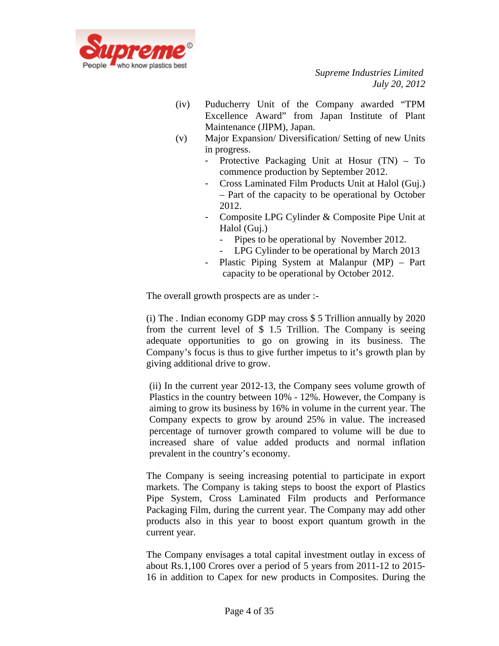

- (iv) Puducherry Unit of the Company awarded "TPM Excellence Award" from Japan Institute of Plant Maintenance (JIPM), Japan.
- (v) Major Expansion/ Diversification/ Setting of new Units in progress.
	- Protective Packaging Unit at Hosur (TN) To commence production by September 2012.
	- Cross Laminated Film Products Unit at Halol (Guj.) – Part of the capacity to be operational by October 2012.
	- Composite LPG Cylinder & Composite Pipe Unit at Halol (Guj.)
		- Pipes to be operational by November 2012.
		- LPG Cylinder to be operational by March 2013
	- Plastic Piping System at Malanpur (MP) Part capacity to be operational by October 2012.

The overall growth prospects are as under :-

(i) The . Indian economy GDP may cross \$ 5 Trillion annually by 2020 from the current level of \$ 1.5 Trillion. The Company is seeing adequate opportunities to go on growing in its business. The Company's focus is thus to give further impetus to it's growth plan by giving additional drive to grow.

(ii) In the current year 2012-13, the Company sees volume growth of Plastics in the country between 10% - 12%. However, the Company is aiming to grow its business by 16% in volume in the current year. The Company expects to grow by around 25% in value. The increased percentage of turnover growth compared to volume will be due to increased share of value added products and normal inflation prevalent in the country's economy.

The Company is seeing increasing potential to participate in export markets. The Company is taking steps to boost the export of Plastics Pipe System, Cross Laminated Film products and Performance Packaging Film, during the current year. The Company may add other products also in this year to boost export quantum growth in the current year.

The Company envisages a total capital investment outlay in excess of about Rs.1,100 Crores over a period of 5 years from 2011-12 to 2015- 16 in addition to Capex for new products in Composites. During the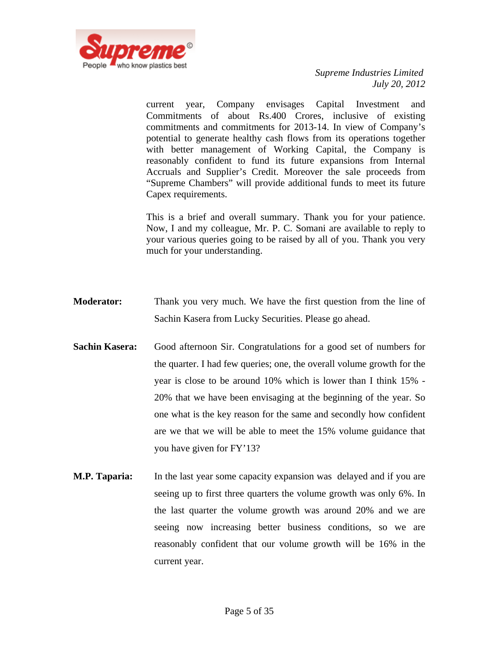

current year, Company envisages Capital Investment and Commitments of about Rs.400 Crores, inclusive of existing commitments and commitments for 2013-14. In view of Company's potential to generate healthy cash flows from its operations together with better management of Working Capital, the Company is reasonably confident to fund its future expansions from Internal Accruals and Supplier's Credit. Moreover the sale proceeds from "Supreme Chambers" will provide additional funds to meet its future Capex requirements.

This is a brief and overall summary. Thank you for your patience. Now, I and my colleague, Mr. P. C. Somani are available to reply to your various queries going to be raised by all of you. Thank you very much for your understanding.

- **Moderator:** Thank you very much. We have the first question from the line of Sachin Kasera from Lucky Securities. Please go ahead.
- **Sachin Kasera:** Good afternoon Sir. Congratulations for a good set of numbers for the quarter. I had few queries; one, the overall volume growth for the year is close to be around 10% which is lower than I think 15% - 20% that we have been envisaging at the beginning of the year. So one what is the key reason for the same and secondly how confident are we that we will be able to meet the 15% volume guidance that you have given for FY'13?
- **M.P. Taparia:** In the last year some capacity expansion was delayed and if you are seeing up to first three quarters the volume growth was only 6%. In the last quarter the volume growth was around 20% and we are seeing now increasing better business conditions, so we are reasonably confident that our volume growth will be 16% in the current year.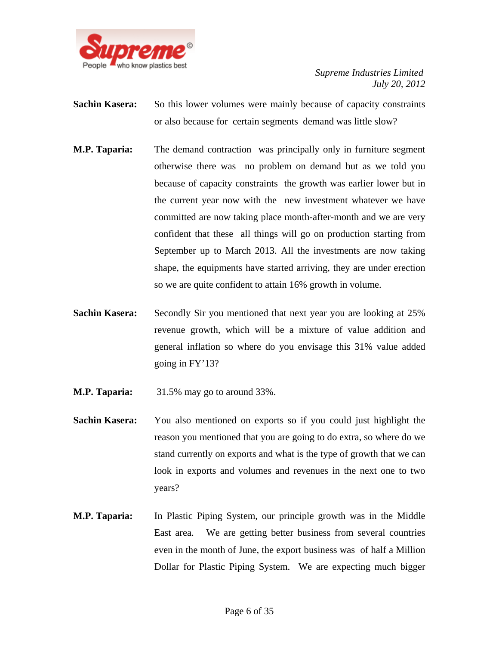

- **Sachin Kasera:** So this lower volumes were mainly because of capacity constraints or also because for certain segments demand was little slow?
- **M.P. Taparia:** The demand contraction was principally only in furniture segment otherwise there was no problem on demand but as we told you because of capacity constraints the growth was earlier lower but in the current year now with the new investment whatever we have committed are now taking place month-after-month and we are very confident that these all things will go on production starting from September up to March 2013. All the investments are now taking shape, the equipments have started arriving, they are under erection so we are quite confident to attain 16% growth in volume.
- **Sachin Kasera:** Secondly Sir you mentioned that next year you are looking at 25% revenue growth, which will be a mixture of value addition and general inflation so where do you envisage this 31% value added going in FY'13?
- **M.P. Taparia:** 31.5% may go to around 33%.
- **Sachin Kasera:** You also mentioned on exports so if you could just highlight the reason you mentioned that you are going to do extra, so where do we stand currently on exports and what is the type of growth that we can look in exports and volumes and revenues in the next one to two years?
- **M.P. Taparia:** In Plastic Piping System, our principle growth was in the Middle East area. We are getting better business from several countries even in the month of June, the export business was of half a Million Dollar for Plastic Piping System. We are expecting much bigger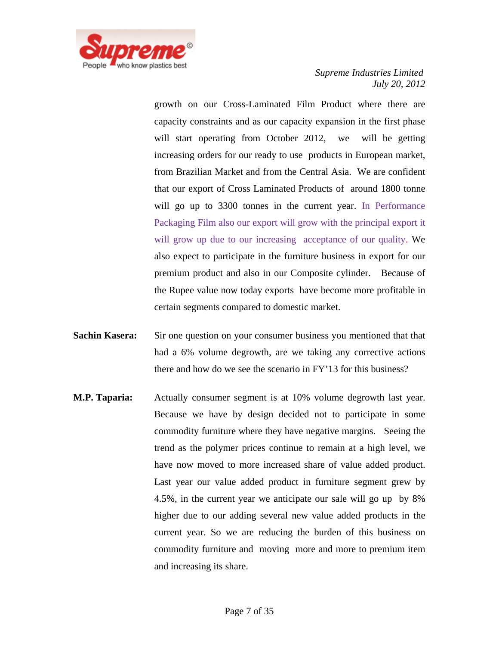

growth on our Cross-Laminated Film Product where there are capacity constraints and as our capacity expansion in the first phase will start operating from October 2012, we will be getting increasing orders for our ready to use products in European market, from Brazilian Market and from the Central Asia. We are confident that our export of Cross Laminated Products of around 1800 tonne will go up to 3300 tonnes in the current year. In Performance Packaging Film also our export will grow with the principal export it will grow up due to our increasing acceptance of our quality. We also expect to participate in the furniture business in export for our premium product and also in our Composite cylinder. Because of the Rupee value now today exports have become more profitable in certain segments compared to domestic market.

- **Sachin Kasera:** Sir one question on your consumer business you mentioned that that had a 6% volume degrowth, are we taking any corrective actions there and how do we see the scenario in FY'13 for this business?
- **M.P. Taparia:** Actually consumer segment is at 10% volume degrowth last year. Because we have by design decided not to participate in some commodity furniture where they have negative margins. Seeing the trend as the polymer prices continue to remain at a high level, we have now moved to more increased share of value added product. Last year our value added product in furniture segment grew by 4.5%, in the current year we anticipate our sale will go up by 8% higher due to our adding several new value added products in the current year. So we are reducing the burden of this business on commodity furniture and moving more and more to premium item and increasing its share.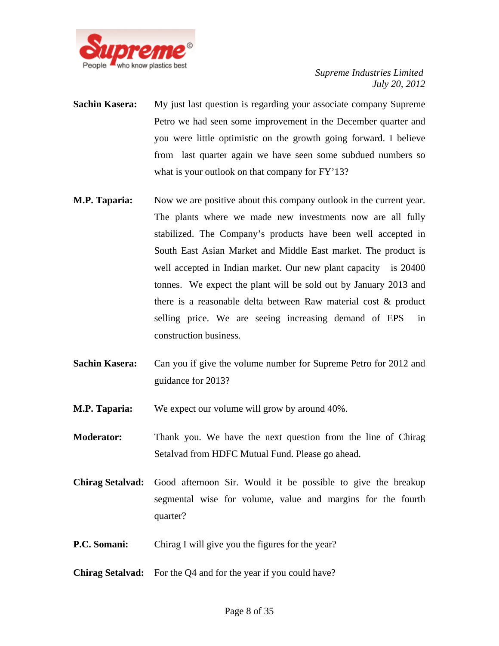

- **Sachin Kasera:** My just last question is regarding your associate company Supreme Petro we had seen some improvement in the December quarter and you were little optimistic on the growth going forward. I believe from last quarter again we have seen some subdued numbers so what is your outlook on that company for FY'13?
- **M.P. Taparia:** Now we are positive about this company outlook in the current year. The plants where we made new investments now are all fully stabilized. The Company's products have been well accepted in South East Asian Market and Middle East market. The product is well accepted in Indian market. Our new plant capacity is 20400 tonnes. We expect the plant will be sold out by January 2013 and there is a reasonable delta between Raw material cost & product selling price. We are seeing increasing demand of EPS in construction business.
- **Sachin Kasera:** Can you if give the volume number for Supreme Petro for 2012 and guidance for 2013?
- **M.P. Taparia:** We expect our volume will grow by around 40%.
- **Moderator:** Thank you. We have the next question from the line of Chirag Setalvad from HDFC Mutual Fund. Please go ahead.
- **Chirag Setalvad:** Good afternoon Sir. Would it be possible to give the breakup segmental wise for volume, value and margins for the fourth quarter?
- **P.C. Somani:** Chirag I will give you the figures for the year?
- **Chirag Setalvad:** For the Q4 and for the year if you could have?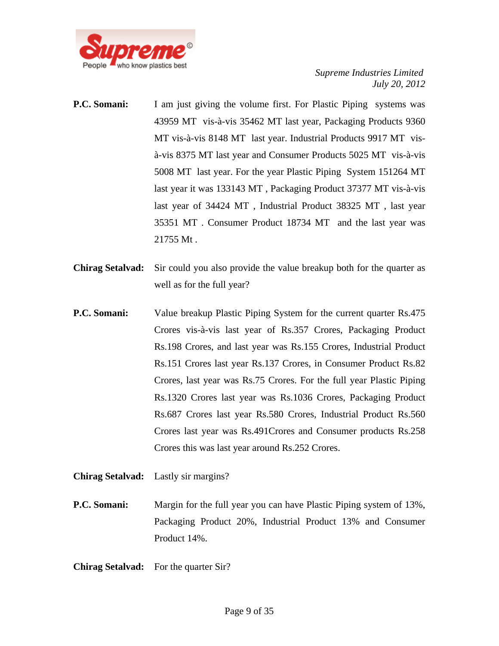

- **P.C. Somani:** I am just giving the volume first. For Plastic Piping systems was 43959 MT vis-à-vis 35462 MT last year, Packaging Products 9360 MT vis-à-vis 8148 MT last year. Industrial Products 9917 MT visà-vis 8375 MT last year and Consumer Products 5025 MT vis-à-vis 5008 MT last year. For the year Plastic Piping System 151264 MT last year it was 133143 MT , Packaging Product 37377 MT vis-à-vis last year of 34424 MT , Industrial Product 38325 MT , last year 35351 MT . Consumer Product 18734 MT and the last year was 21755 Mt .
- **Chirag Setalvad:** Sir could you also provide the value breakup both for the quarter as well as for the full year?
- **P.C. Somani:** Value breakup Plastic Piping System for the current quarter Rs.475 Crores vis-à-vis last year of Rs.357 Crores, Packaging Product Rs.198 Crores, and last year was Rs.155 Crores, Industrial Product Rs.151 Crores last year Rs.137 Crores, in Consumer Product Rs.82 Crores, last year was Rs.75 Crores. For the full year Plastic Piping Rs.1320 Crores last year was Rs.1036 Crores, Packaging Product Rs.687 Crores last year Rs.580 Crores, Industrial Product Rs.560 Crores last year was Rs.491Crores and Consumer products Rs.258 Crores this was last year around Rs.252 Crores.
- **Chirag Setalvad:** Lastly sir margins?
- **P.C. Somani:** Margin for the full year you can have Plastic Piping system of 13%, Packaging Product 20%, Industrial Product 13% and Consumer Product 14%.
- **Chirag Setalvad:** For the quarter Sir?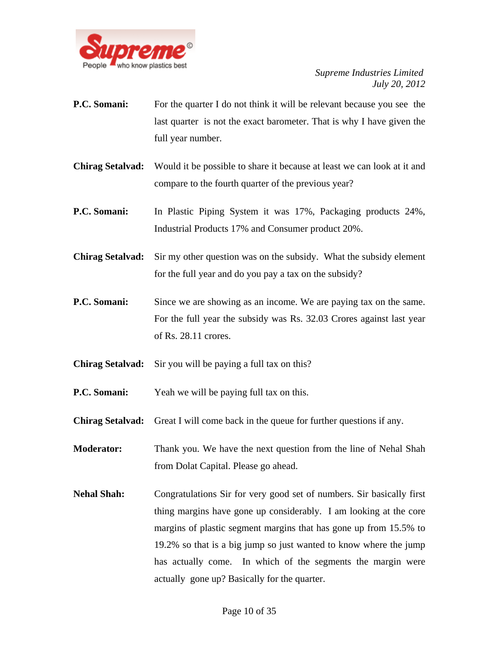

- **P.C. Somani:** For the quarter I do not think it will be relevant because you see the last quarter is not the exact barometer. That is why I have given the full year number.
- **Chirag Setalvad:** Would it be possible to share it because at least we can look at it and compare to the fourth quarter of the previous year?
- **P.C. Somani:** In Plastic Piping System it was 17%, Packaging products 24%, Industrial Products 17% and Consumer product 20%.
- **Chirag Setalvad:** Sir my other question was on the subsidy. What the subsidy element for the full year and do you pay a tax on the subsidy?
- **P.C. Somani:** Since we are showing as an income. We are paying tax on the same. For the full year the subsidy was Rs. 32.03 Crores against last year of Rs. 28.11 crores.
- **Chirag Setalvad:** Sir you will be paying a full tax on this?
- **P.C. Somani:** Yeah we will be paying full tax on this.
- **Chirag Setalvad:** Great I will come back in the queue for further questions if any.
- **Moderator:** Thank you. We have the next question from the line of Nehal Shah from Dolat Capital. Please go ahead.
- **Nehal Shah:** Congratulations Sir for very good set of numbers. Sir basically first thing margins have gone up considerably. I am looking at the core margins of plastic segment margins that has gone up from 15.5% to 19.2% so that is a big jump so just wanted to know where the jump has actually come. In which of the segments the margin were actually gone up? Basically for the quarter.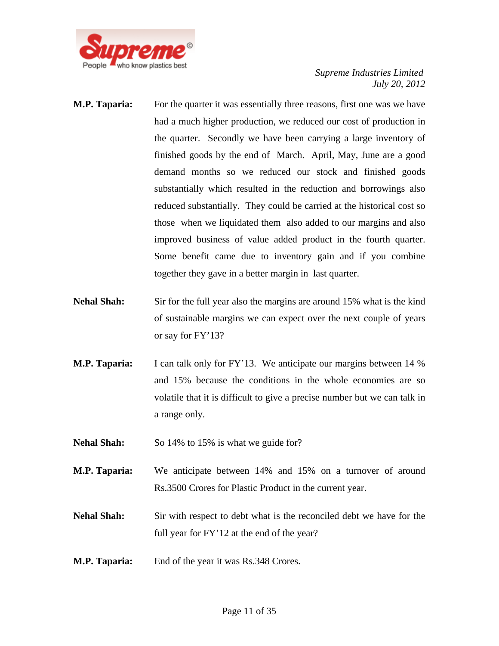

- **M.P. Taparia:** For the quarter it was essentially three reasons, first one was we have had a much higher production, we reduced our cost of production in the quarter. Secondly we have been carrying a large inventory of finished goods by the end of March. April, May, June are a good demand months so we reduced our stock and finished goods substantially which resulted in the reduction and borrowings also reduced substantially. They could be carried at the historical cost so those when we liquidated them also added to our margins and also improved business of value added product in the fourth quarter. Some benefit came due to inventory gain and if you combine together they gave in a better margin in last quarter.
- **Nehal Shah:** Sir for the full year also the margins are around 15% what is the kind of sustainable margins we can expect over the next couple of years or say for FY'13?
- **M.P. Taparia:** I can talk only for FY'13. We anticipate our margins between 14 % and 15% because the conditions in the whole economies are so volatile that it is difficult to give a precise number but we can talk in a range only.
- **Nehal Shah:** So 14% to 15% is what we guide for?
- **M.P. Taparia:** We anticipate between 14% and 15% on a turnover of around Rs.3500 Crores for Plastic Product in the current year.
- **Nehal Shah:** Sir with respect to debt what is the reconciled debt we have for the full year for FY'12 at the end of the year?
- **M.P. Taparia:** End of the year it was Rs.348 Crores.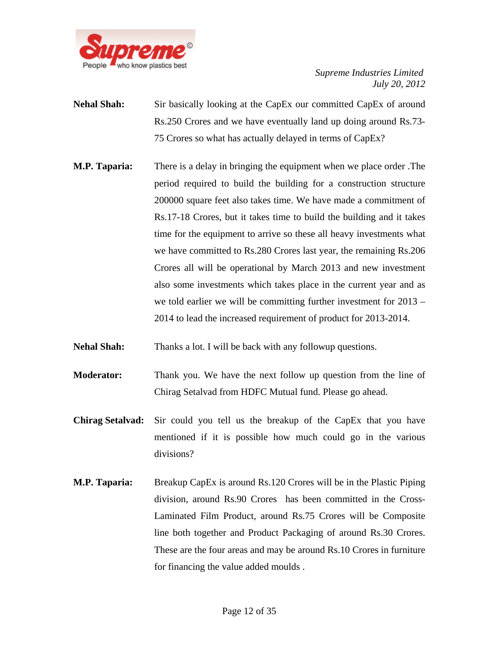

- **Nehal Shah:** Sir basically looking at the CapEx our committed CapEx of around Rs.250 Crores and we have eventually land up doing around Rs.73- 75 Crores so what has actually delayed in terms of CapEx?
- **M.P. Taparia:** There is a delay in bringing the equipment when we place order .The period required to build the building for a construction structure 200000 square feet also takes time. We have made a commitment of Rs.17-18 Crores, but it takes time to build the building and it takes time for the equipment to arrive so these all heavy investments what we have committed to Rs.280 Crores last year, the remaining Rs.206 Crores all will be operational by March 2013 and new investment also some investments which takes place in the current year and as we told earlier we will be committing further investment for 2013 – 2014 to lead the increased requirement of product for 2013-2014.
- **Nehal Shah:** Thanks a lot. I will be back with any followup questions.
- **Moderator:** Thank you. We have the next follow up question from the line of Chirag Setalvad from HDFC Mutual fund. Please go ahead.
- **Chirag Setalvad:** Sir could you tell us the breakup of the CapEx that you have mentioned if it is possible how much could go in the various divisions?
- **M.P. Taparia:** Breakup CapEx is around Rs.120 Crores will be in the Plastic Piping division, around Rs.90 Crores has been committed in the Cross-Laminated Film Product, around Rs.75 Crores will be Composite line both together and Product Packaging of around Rs.30 Crores. These are the four areas and may be around Rs.10 Crores in furniture for financing the value added moulds .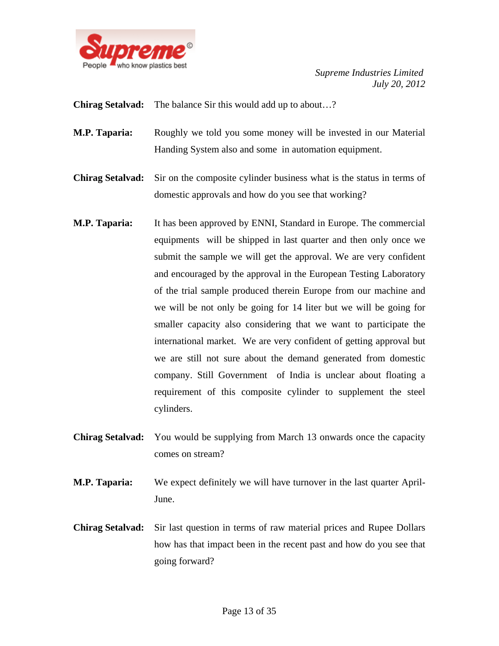

**Chirag Setalvad:** The balance Sir this would add up to about…?

- **M.P. Taparia:** Roughly we told you some money will be invested in our Material Handing System also and some in automation equipment.
- **Chirag Setalvad:** Sir on the composite cylinder business what is the status in terms of domestic approvals and how do you see that working?
- **M.P. Taparia:** It has been approved by ENNI, Standard in Europe. The commercial equipments will be shipped in last quarter and then only once we submit the sample we will get the approval. We are very confident and encouraged by the approval in the European Testing Laboratory of the trial sample produced therein Europe from our machine and we will be not only be going for 14 liter but we will be going for smaller capacity also considering that we want to participate the international market. We are very confident of getting approval but we are still not sure about the demand generated from domestic company. Still Government of India is unclear about floating a requirement of this composite cylinder to supplement the steel cylinders.
- **Chirag Setalvad:** You would be supplying from March 13 onwards once the capacity comes on stream?
- **M.P. Taparia:** We expect definitely we will have turnover in the last quarter April-June.
- **Chirag Setalvad:** Sir last question in terms of raw material prices and Rupee Dollars how has that impact been in the recent past and how do you see that going forward?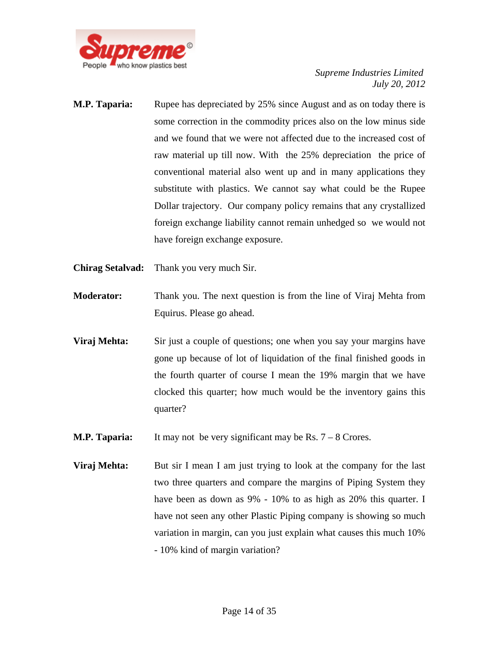

- **M.P. Taparia:** Rupee has depreciated by 25% since August and as on today there is some correction in the commodity prices also on the low minus side and we found that we were not affected due to the increased cost of raw material up till now. With the 25% depreciation the price of conventional material also went up and in many applications they substitute with plastics. We cannot say what could be the Rupee Dollar trajectory. Our company policy remains that any crystallized foreign exchange liability cannot remain unhedged so we would not have foreign exchange exposure.
- **Chirag Setalvad:** Thank you very much Sir.
- **Moderator:** Thank you. The next question is from the line of Viraj Mehta from Equirus. Please go ahead.
- **Viraj Mehta:** Sir just a couple of questions; one when you say your margins have gone up because of lot of liquidation of the final finished goods in the fourth quarter of course I mean the 19% margin that we have clocked this quarter; how much would be the inventory gains this quarter?
- **M.P. Taparia:** It may not be very significant may be Rs. 7 8 Crores.
- **Viraj Mehta:** But sir I mean I am just trying to look at the company for the last two three quarters and compare the margins of Piping System they have been as down as 9% - 10% to as high as 20% this quarter. I have not seen any other Plastic Piping company is showing so much variation in margin, can you just explain what causes this much 10% - 10% kind of margin variation?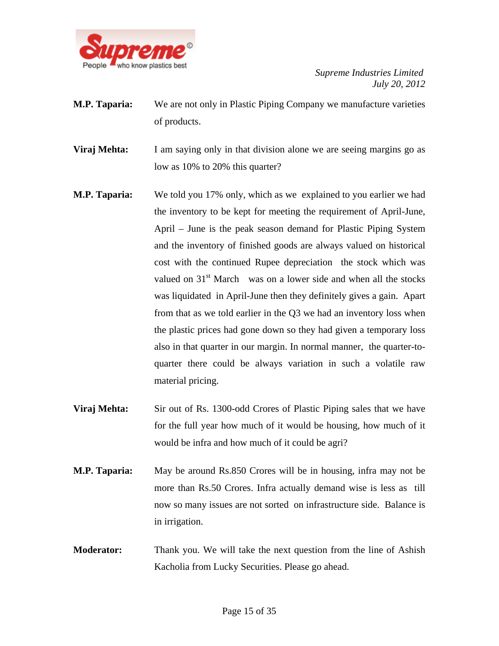

- **M.P. Taparia:** We are not only in Plastic Piping Company we manufacture varieties of products.
- **Viraj Mehta:** I am saying only in that division alone we are seeing margins go as low as 10% to 20% this quarter?
- **M.P. Taparia:** We told you 17% only, which as we explained to you earlier we had the inventory to be kept for meeting the requirement of April-June, April – June is the peak season demand for Plastic Piping System and the inventory of finished goods are always valued on historical cost with the continued Rupee depreciation the stock which was valued on  $31<sup>st</sup>$  March was on a lower side and when all the stocks was liquidated in April-June then they definitely gives a gain. Apart from that as we told earlier in the Q3 we had an inventory loss when the plastic prices had gone down so they had given a temporary loss also in that quarter in our margin. In normal manner, the quarter-toquarter there could be always variation in such a volatile raw material pricing.
- **Viraj Mehta:** Sir out of Rs. 1300-odd Crores of Plastic Piping sales that we have for the full year how much of it would be housing, how much of it would be infra and how much of it could be agri?
- **M.P. Taparia:** May be around Rs.850 Crores will be in housing, infra may not be more than Rs.50 Crores. Infra actually demand wise is less as till now so many issues are not sorted on infrastructure side. Balance is in irrigation.
- **Moderator:** Thank you. We will take the next question from the line of Ashish Kacholia from Lucky Securities. Please go ahead.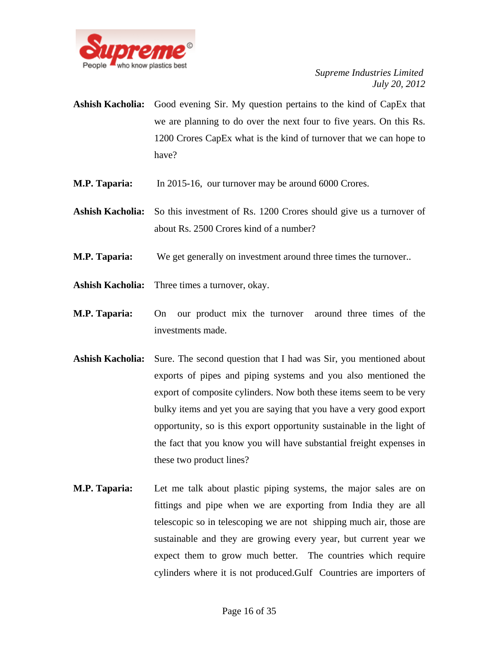

- **Ashish Kacholia:** Good evening Sir. My question pertains to the kind of CapEx that we are planning to do over the next four to five years. On this Rs. 1200 Crores CapEx what is the kind of turnover that we can hope to have?
- **M.P. Taparia:** In 2015-16, our turnover may be around 6000 Crores.
- **Ashish Kacholia:** So this investment of Rs. 1200 Crores should give us a turnover of about Rs. 2500 Crores kind of a number?
- **M.P. Taparia:** We get generally on investment around three times the turnover..
- **Ashish Kacholia:** Three times a turnover, okay.
- **M.P. Taparia:** On our product mix the turnover around three times of the investments made.
- **Ashish Kacholia:** Sure. The second question that I had was Sir, you mentioned about exports of pipes and piping systems and you also mentioned the export of composite cylinders. Now both these items seem to be very bulky items and yet you are saying that you have a very good export opportunity, so is this export opportunity sustainable in the light of the fact that you know you will have substantial freight expenses in these two product lines?
- **M.P. Taparia:** Let me talk about plastic piping systems, the major sales are on fittings and pipe when we are exporting from India they are all telescopic so in telescoping we are not shipping much air, those are sustainable and they are growing every year, but current year we expect them to grow much better. The countries which require cylinders where it is not produced.Gulf Countries are importers of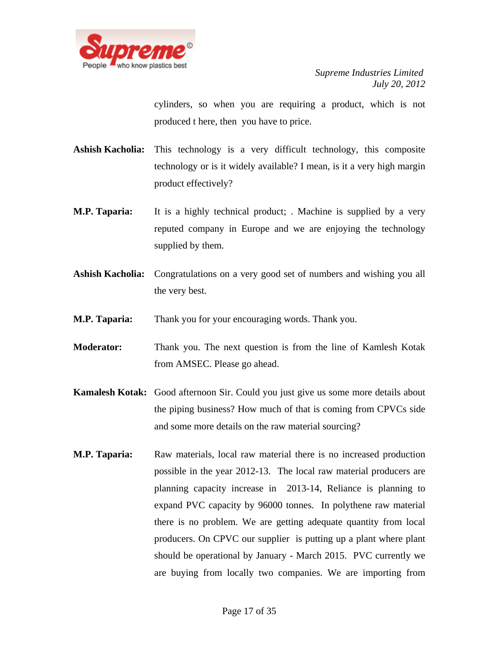

cylinders, so when you are requiring a product, which is not produced t here, then you have to price.

- **Ashish Kacholia:** This technology is a very difficult technology, this composite technology or is it widely available? I mean, is it a very high margin product effectively?
- **M.P. Taparia:** It is a highly technical product; . Machine is supplied by a very reputed company in Europe and we are enjoying the technology supplied by them.
- **Ashish Kacholia:** Congratulations on a very good set of numbers and wishing you all the very best.
- **M.P. Taparia:** Thank you for your encouraging words. Thank you.
- **Moderator:** Thank you. The next question is from the line of Kamlesh Kotak from AMSEC. Please go ahead.
- **Kamalesh Kotak:** Good afternoon Sir. Could you just give us some more details about the piping business? How much of that is coming from CPVCs side and some more details on the raw material sourcing?
- **M.P. Taparia:** Raw materials, local raw material there is no increased production possible in the year 2012-13. The local raw material producers are planning capacity increase in 2013-14, Reliance is planning to expand PVC capacity by 96000 tonnes. In polythene raw material there is no problem. We are getting adequate quantity from local producers. On CPVC our supplier is putting up a plant where plant should be operational by January - March 2015. PVC currently we are buying from locally two companies. We are importing from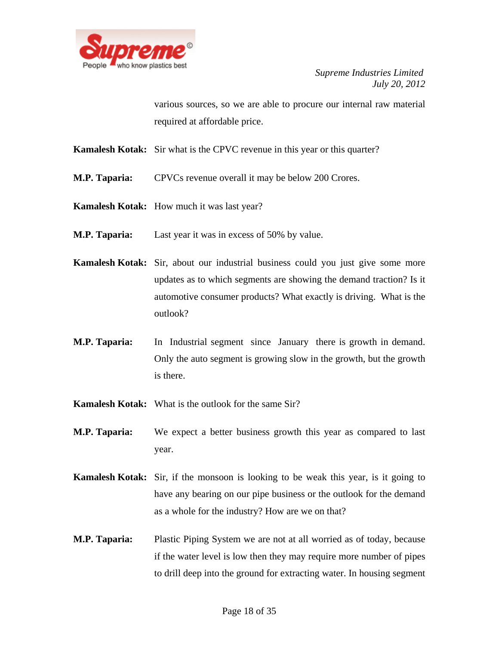

various sources, so we are able to procure our internal raw material required at affordable price.

- **Kamalesh Kotak:** Sir what is the CPVC revenue in this year or this quarter?
- **M.P. Taparia:** CPVCs revenue overall it may be below 200 Crores.
- **Kamalesh Kotak:** How much it was last year?
- **M.P. Taparia:** Last year it was in excess of 50% by value.
- **Kamalesh Kotak:** Sir, about our industrial business could you just give some more updates as to which segments are showing the demand traction? Is it automotive consumer products? What exactly is driving. What is the outlook?
- **M.P. Taparia:** In Industrial segment since January there is growth in demand. Only the auto segment is growing slow in the growth, but the growth is there.
- **Kamalesh Kotak:** What is the outlook for the same Sir?
- **M.P. Taparia:** We expect a better business growth this year as compared to last year.
- **Kamalesh Kotak:** Sir, if the monsoon is looking to be weak this year, is it going to have any bearing on our pipe business or the outlook for the demand as a whole for the industry? How are we on that?
- **M.P. Taparia:** Plastic Piping System we are not at all worried as of today, because if the water level is low then they may require more number of pipes to drill deep into the ground for extracting water. In housing segment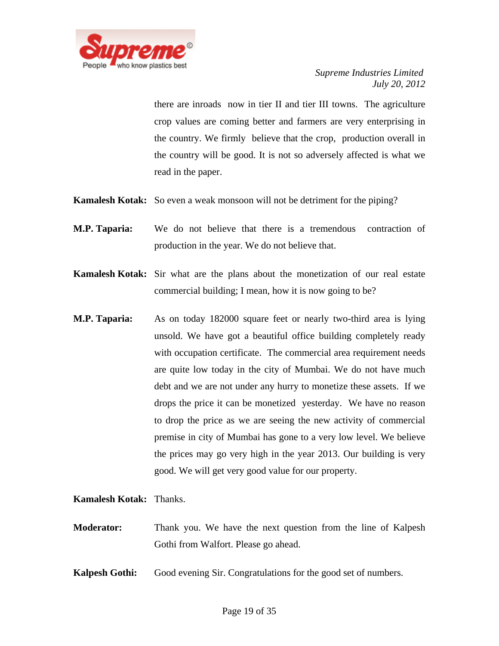

there are inroads now in tier II and tier III towns. The agriculture crop values are coming better and farmers are very enterprising in the country. We firmly believe that the crop, production overall in the country will be good. It is not so adversely affected is what we read in the paper.

- **Kamalesh Kotak:** So even a weak monsoon will not be detriment for the piping?
- **M.P. Taparia:** We do not believe that there is a tremendous contraction of production in the year. We do not believe that.
- **Kamalesh Kotak:** Sir what are the plans about the monetization of our real estate commercial building; I mean, how it is now going to be?
- **M.P. Taparia:** As on today 182000 square feet or nearly two-third area is lying unsold. We have got a beautiful office building completely ready with occupation certificate. The commercial area requirement needs are quite low today in the city of Mumbai. We do not have much debt and we are not under any hurry to monetize these assets. If we drops the price it can be monetized yesterday. We have no reason to drop the price as we are seeing the new activity of commercial premise in city of Mumbai has gone to a very low level. We believe the prices may go very high in the year 2013. Our building is very good. We will get very good value for our property.

## **Kamalesh Kotak:** Thanks.

- **Moderator:** Thank you. We have the next question from the line of Kalpesh Gothi from Walfort. Please go ahead.
- **Kalpesh Gothi:** Good evening Sir. Congratulations for the good set of numbers.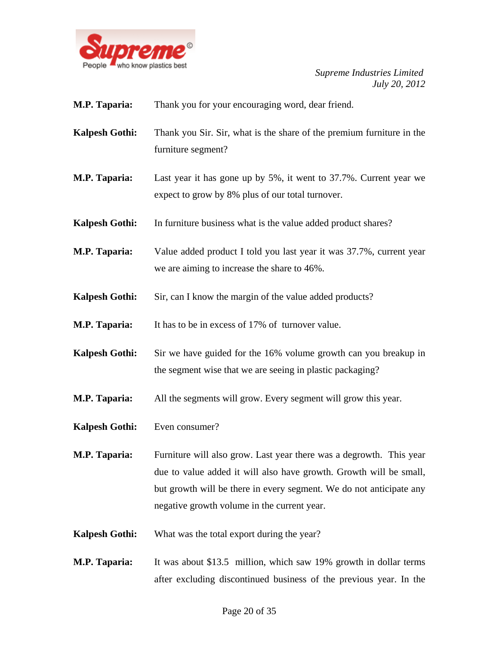

- **M.P. Taparia:** Thank you for your encouraging word, dear friend.
- **Kalpesh Gothi:** Thank you Sir. Sir, what is the share of the premium furniture in the furniture segment?
- **M.P. Taparia:** Last year it has gone up by 5%, it went to 37.7%. Current year we expect to grow by 8% plus of our total turnover.
- **Kalpesh Gothi:** In furniture business what is the value added product shares?
- **M.P. Taparia:** Value added product I told you last year it was 37.7%, current year we are aiming to increase the share to 46%.
- **Kalpesh Gothi:** Sir, can I know the margin of the value added products?
- **M.P. Taparia:** It has to be in excess of 17% of turnover value.
- **Kalpesh Gothi:** Sir we have guided for the 16% volume growth can you breakup in the segment wise that we are seeing in plastic packaging?
- **M.P. Taparia:** All the segments will grow. Every segment will grow this year.
- **Kalpesh Gothi:** Even consumer?
- **M.P. Taparia:** Furniture will also grow. Last year there was a degrowth. This year due to value added it will also have growth. Growth will be small, but growth will be there in every segment. We do not anticipate any negative growth volume in the current year.
- **Kalpesh Gothi:** What was the total export during the year?
- **M.P. Taparia:** It was about \$13.5 million, which saw 19% growth in dollar terms after excluding discontinued business of the previous year. In the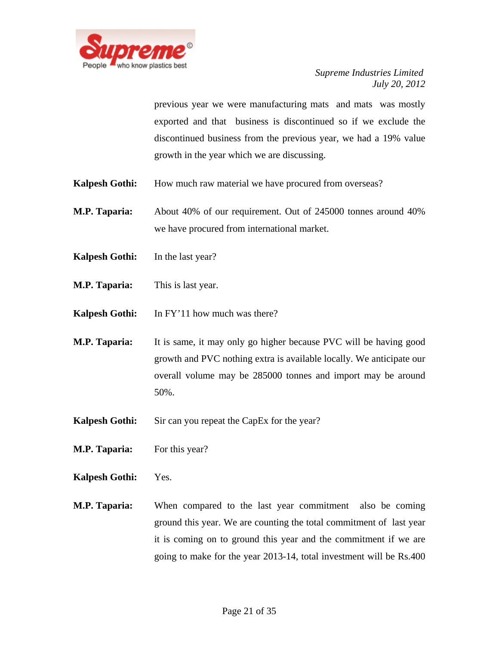

previous year we were manufacturing mats and mats was mostly exported and that business is discontinued so if we exclude the discontinued business from the previous year, we had a 19% value growth in the year which we are discussing.

- **Kalpesh Gothi:** How much raw material we have procured from overseas?
- **M.P. Taparia:** About 40% of our requirement. Out of 245000 tonnes around 40% we have procured from international market.
- **Kalpesh Gothi:** In the last year?
- **M.P. Taparia:** This is last year.
- **Kalpesh Gothi:** In FY'11 how much was there?
- **M.P. Taparia:** It is same, it may only go higher because PVC will be having good growth and PVC nothing extra is available locally. We anticipate our overall volume may be 285000 tonnes and import may be around 50%.
- **Kalpesh Gothi:** Sir can you repeat the CapEx for the year?
- **M.P. Taparia:** For this year?
- **Kalpesh Gothi:** Yes.
- **M.P. Taparia:** When compared to the last year commitment also be coming ground this year. We are counting the total commitment of last year it is coming on to ground this year and the commitment if we are going to make for the year 2013-14, total investment will be Rs.400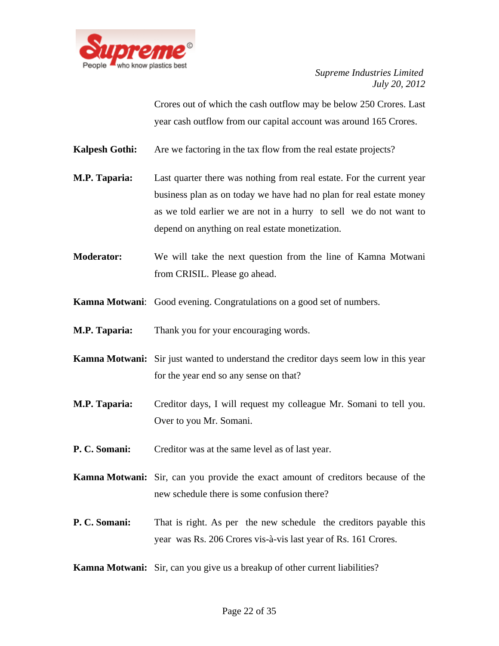

Crores out of which the cash outflow may be below 250 Crores. Last year cash outflow from our capital account was around 165 Crores.

**Kalpesh Gothi:** Are we factoring in the tax flow from the real estate projects?

- **M.P. Taparia:** Last quarter there was nothing from real estate. For the current year business plan as on today we have had no plan for real estate money as we told earlier we are not in a hurry to sell we do not want to depend on anything on real estate monetization.
- **Moderator:** We will take the next question from the line of Kamna Motwani from CRISIL. Please go ahead.
- **Kamna Motwani**: Good evening. Congratulations on a good set of numbers.
- **M.P. Taparia:** Thank you for your encouraging words.
- **Kamna Motwani:** Sir just wanted to understand the creditor days seem low in this year for the year end so any sense on that?
- **M.P. Taparia:** Creditor days, I will request my colleague Mr. Somani to tell you. Over to you Mr. Somani.
- **P. C. Somani:** Creditor was at the same level as of last year.
- **Kamna Motwani:** Sir, can you provide the exact amount of creditors because of the new schedule there is some confusion there?
- **P. C. Somani:** That is right. As per the new schedule the creditors payable this year was Rs. 206 Crores vis-à-vis last year of Rs. 161 Crores.
- **Kamna Motwani:** Sir, can you give us a breakup of other current liabilities?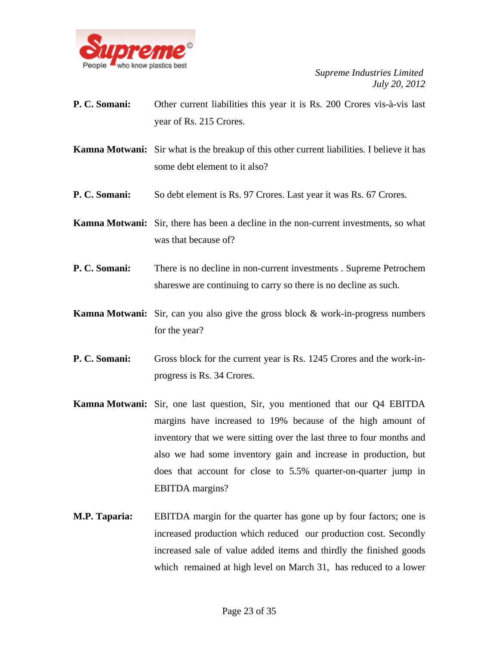

- **P. C. Somani:** Other current liabilities this year it is Rs. 200 Crores vis-à-vis last year of Rs. 215 Crores.
- **Kamna Motwani:** Sir what is the breakup of this other current liabilities. I believe it has some debt element to it also?
- **P. C. Somani:** So debt element is Rs. 97 Crores. Last year it was Rs. 67 Crores.
- **Kamna Motwani:** Sir, there has been a decline in the non-current investments, so what was that because of?
- **P. C. Somani:** There is no decline in non-current investments . Supreme Petrochem shareswe are continuing to carry so there is no decline as such.
- **Kamna Motwani:** Sir, can you also give the gross block & work-in-progress numbers for the year?
- **P. C. Somani:** Gross block for the current year is Rs. 1245 Crores and the work-inprogress is Rs. 34 Crores.
- **Kamna Motwani:** Sir, one last question, Sir, you mentioned that our Q4 EBITDA margins have increased to 19% because of the high amount of inventory that we were sitting over the last three to four months and also we had some inventory gain and increase in production, but does that account for close to 5.5% quarter-on-quarter jump in EBITDA margins?
- **M.P. Taparia:** EBITDA margin for the quarter has gone up by four factors; one is increased production which reduced our production cost. Secondly increased sale of value added items and thirdly the finished goods which remained at high level on March 31, has reduced to a lower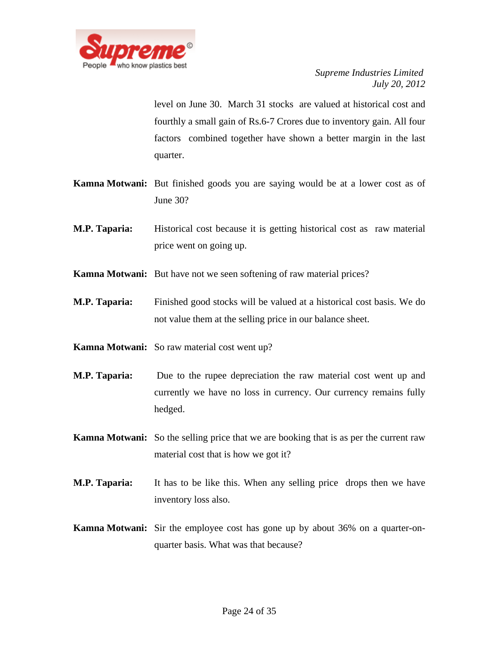

level on June 30. March 31 stocks are valued at historical cost and fourthly a small gain of Rs.6-7 Crores due to inventory gain. All four factors combined together have shown a better margin in the last quarter.

- **Kamna Motwani:** But finished goods you are saying would be at a lower cost as of June 30?
- **M.P. Taparia:** Historical cost because it is getting historical cost as raw material price went on going up.
- **Kamna Motwani:** But have not we seen softening of raw material prices?
- **M.P. Taparia:** Finished good stocks will be valued at a historical cost basis. We do not value them at the selling price in our balance sheet.
- **Kamna Motwani:** So raw material cost went up?
- **M.P. Taparia:** Due to the rupee depreciation the raw material cost went up and currently we have no loss in currency. Our currency remains fully hedged.
- **Kamna Motwani:** So the selling price that we are booking that is as per the current raw material cost that is how we got it?
- **M.P. Taparia:** It has to be like this. When any selling price drops then we have inventory loss also.
- **Kamna Motwani:** Sir the employee cost has gone up by about 36% on a quarter-onquarter basis. What was that because?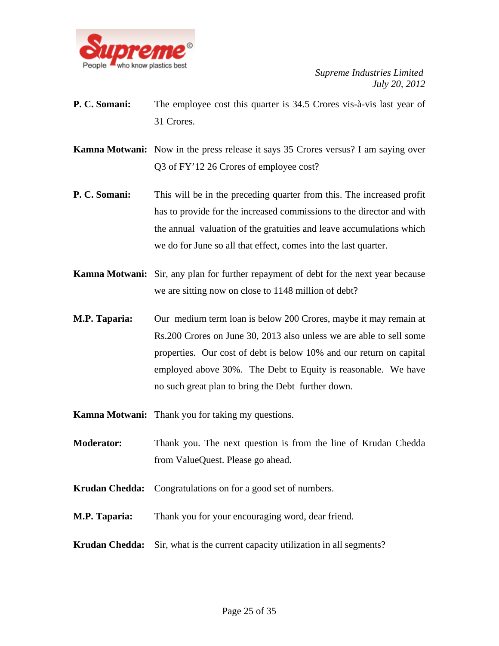

- **P. C. Somani:** The employee cost this quarter is 34.5 Crores vis-à-vis last year of 31 Crores.
- **Kamna Motwani:** Now in the press release it says 35 Crores versus? I am saying over Q3 of FY'12 26 Crores of employee cost?
- **P. C. Somani:** This will be in the preceding quarter from this. The increased profit has to provide for the increased commissions to the director and with the annual valuation of the gratuities and leave accumulations which we do for June so all that effect, comes into the last quarter.
- **Kamna Motwani:** Sir, any plan for further repayment of debt for the next year because we are sitting now on close to 1148 million of debt?
- **M.P. Taparia:** Our medium term loan is below 200 Crores, maybe it may remain at Rs.200 Crores on June 30, 2013 also unless we are able to sell some properties. Our cost of debt is below 10% and our return on capital employed above 30%. The Debt to Equity is reasonable. We have no such great plan to bring the Debt further down.
- **Kamna Motwani:** Thank you for taking my questions.
- **Moderator:** Thank you. The next question is from the line of Krudan Chedda from ValueQuest. Please go ahead.
- **Krudan Chedda:** Congratulations on for a good set of numbers.
- **M.P. Taparia:** Thank you for your encouraging word, dear friend.
- **Krudan Chedda:** Sir, what is the current capacity utilization in all segments?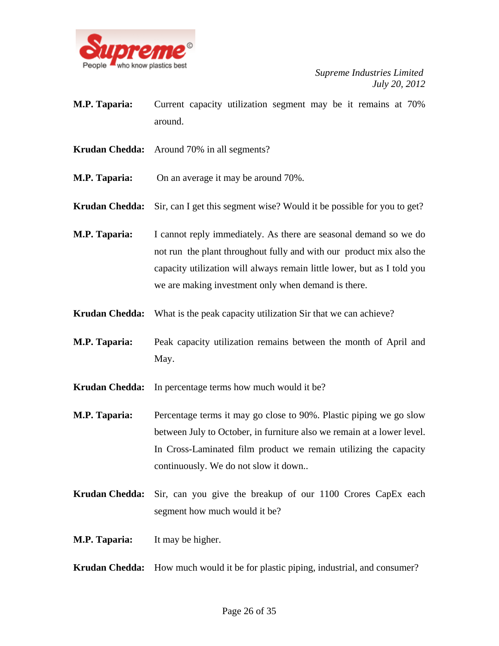

- **M.P. Taparia:** Current capacity utilization segment may be it remains at 70% around.
- **Krudan Chedda:** Around 70% in all segments?
- **M.P. Taparia:** On an average it may be around 70%.
- **Krudan Chedda:** Sir, can I get this segment wise? Would it be possible for you to get?
- **M.P. Taparia:** I cannot reply immediately. As there are seasonal demand so we do not run the plant throughout fully and with our product mix also the capacity utilization will always remain little lower, but as I told you we are making investment only when demand is there.
- **Krudan Chedda:** What is the peak capacity utilization Sir that we can achieve?
- **M.P. Taparia:** Peak capacity utilization remains between the month of April and May.
- **Krudan Chedda:** In percentage terms how much would it be?
- **M.P. Taparia:** Percentage terms it may go close to 90%. Plastic piping we go slow between July to October, in furniture also we remain at a lower level. In Cross-Laminated film product we remain utilizing the capacity continuously. We do not slow it down..
- **Krudan Chedda:** Sir, can you give the breakup of our 1100 Crores CapEx each segment how much would it be?
- **M.P. Taparia:** It may be higher.
- **Krudan Chedda:** How much would it be for plastic piping, industrial, and consumer?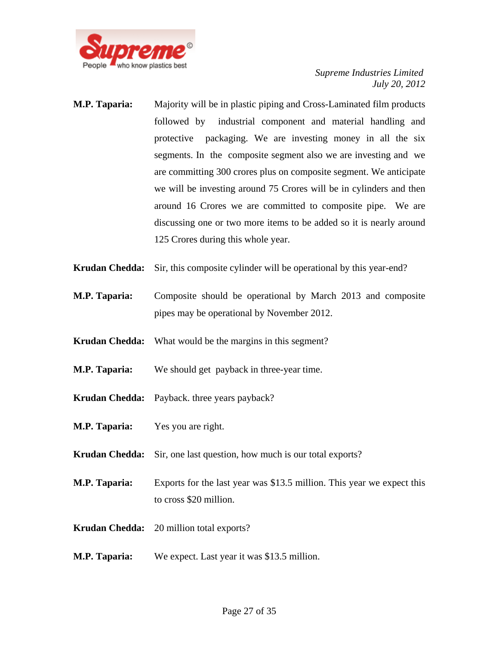

- **M.P. Taparia:** Majority will be in plastic piping and Cross-Laminated film products followed by industrial component and material handling and protective packaging. We are investing money in all the six segments. In the composite segment also we are investing and we are committing 300 crores plus on composite segment. We anticipate we will be investing around 75 Crores will be in cylinders and then around 16 Crores we are committed to composite pipe. We are discussing one or two more items to be added so it is nearly around 125 Crores during this whole year.
- **Krudan Chedda:** Sir, this composite cylinder will be operational by this year-end?
- **M.P. Taparia:** Composite should be operational by March 2013 and composite pipes may be operational by November 2012.
- **Krudan Chedda:** What would be the margins in this segment?
- **M.P. Taparia:** We should get payback in three-year time.
- **Krudan Chedda:** Payback. three years payback?
- **M.P. Taparia:** Yes you are right.
- **Krudan Chedda:** Sir, one last question, how much is our total exports?
- **M.P. Taparia:** Exports for the last year was \$13.5 million. This year we expect this to cross \$20 million.
- **Krudan Chedda:** 20 million total exports?
- **M.P. Taparia:** We expect. Last year it was \$13.5 million.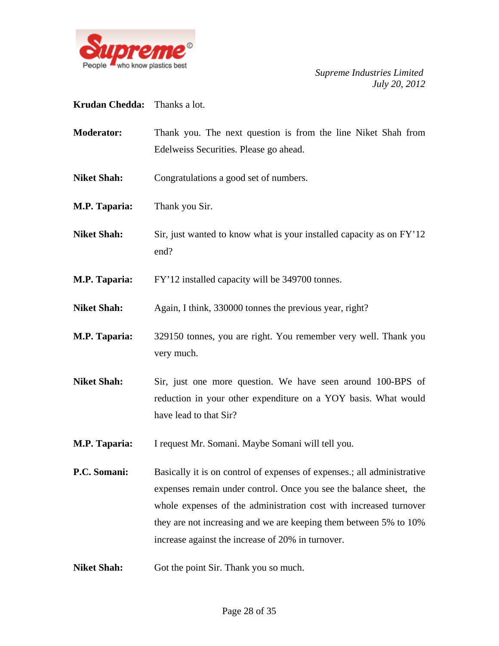

## **Krudan Chedda:** Thanks a lot.

- **Moderator:** Thank you. The next question is from the line Niket Shah from Edelweiss Securities. Please go ahead.
- Niket Shah: Congratulations a good set of numbers.
- **M.P. Taparia:** Thank you Sir.
- **Niket Shah:** Sir, just wanted to know what is your installed capacity as on FY'12 end?
- **M.P. Taparia:** FY'12 installed capacity will be 349700 tonnes.
- **Niket Shah:** Again, I think, 330000 tonnes the previous year, right?
- **M.P. Taparia:** 329150 tonnes, you are right. You remember very well. Thank you very much.
- **Niket Shah:** Sir, just one more question. We have seen around 100-BPS of reduction in your other expenditure on a YOY basis. What would have lead to that Sir?
- **M.P. Taparia:** I request Mr. Somani. Maybe Somani will tell you.
- **P.C. Somani:** Basically it is on control of expenses of expenses.; all administrative expenses remain under control. Once you see the balance sheet, the whole expenses of the administration cost with increased turnover they are not increasing and we are keeping them between 5% to 10% increase against the increase of 20% in turnover.
- **Niket Shah:** Got the point Sir. Thank you so much.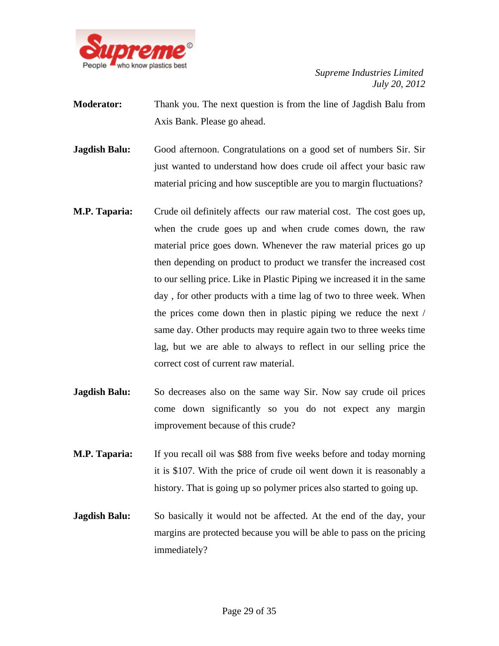

- **Moderator:** Thank you. The next question is from the line of Jagdish Balu from Axis Bank. Please go ahead.
- **Jagdish Balu:** Good afternoon. Congratulations on a good set of numbers Sir. Sir just wanted to understand how does crude oil affect your basic raw material pricing and how susceptible are you to margin fluctuations?
- **M.P. Taparia:** Crude oil definitely affects our raw material cost. The cost goes up, when the crude goes up and when crude comes down, the raw material price goes down. Whenever the raw material prices go up then depending on product to product we transfer the increased cost to our selling price. Like in Plastic Piping we increased it in the same day , for other products with a time lag of two to three week. When the prices come down then in plastic piping we reduce the next / same day. Other products may require again two to three weeks time lag, but we are able to always to reflect in our selling price the correct cost of current raw material.
- **Jagdish Balu:** So decreases also on the same way Sir. Now say crude oil prices come down significantly so you do not expect any margin improvement because of this crude?
- **M.P. Taparia:** If you recall oil was \$88 from five weeks before and today morning it is \$107. With the price of crude oil went down it is reasonably a history. That is going up so polymer prices also started to going up.
- **Jagdish Balu:** So basically it would not be affected. At the end of the day, your margins are protected because you will be able to pass on the pricing immediately?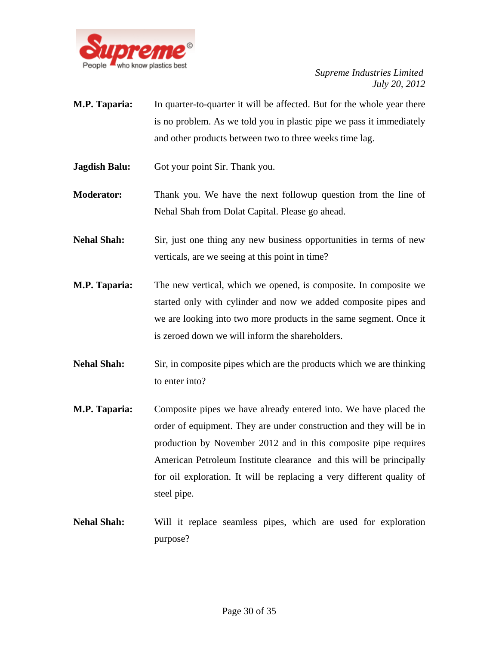

- **M.P. Taparia:** In quarter-to-quarter it will be affected. But for the whole year there is no problem. As we told you in plastic pipe we pass it immediately and other products between two to three weeks time lag.
- **Jagdish Balu:** Got your point Sir. Thank you.
- **Moderator:** Thank you. We have the next followup question from the line of Nehal Shah from Dolat Capital. Please go ahead.
- **Nehal Shah:** Sir, just one thing any new business opportunities in terms of new verticals, are we seeing at this point in time?
- **M.P. Taparia:** The new vertical, which we opened, is composite. In composite we started only with cylinder and now we added composite pipes and we are looking into two more products in the same segment. Once it is zeroed down we will inform the shareholders.
- **Nehal Shah:** Sir, in composite pipes which are the products which we are thinking to enter into?
- **M.P. Taparia:** Composite pipes we have already entered into. We have placed the order of equipment. They are under construction and they will be in production by November 2012 and in this composite pipe requires American Petroleum Institute clearance and this will be principally for oil exploration. It will be replacing a very different quality of steel pipe.
- **Nehal Shah:** Will it replace seamless pipes, which are used for exploration purpose?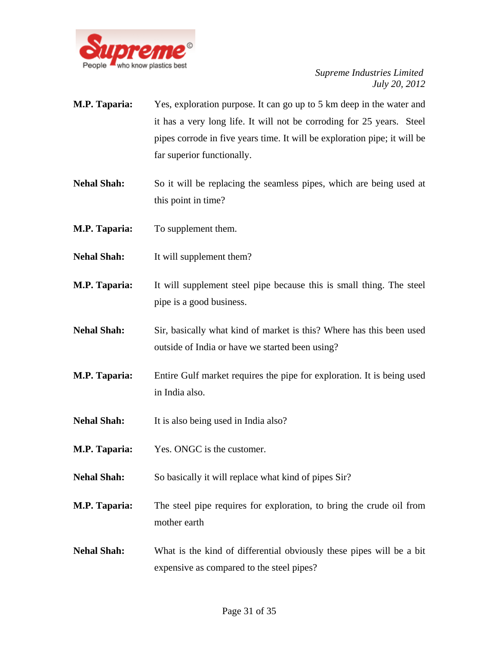

- **M.P. Taparia:** Yes, exploration purpose. It can go up to 5 km deep in the water and it has a very long life. It will not be corroding for 25 years. Steel pipes corrode in five years time. It will be exploration pipe; it will be far superior functionally.
- **Nehal Shah:** So it will be replacing the seamless pipes, which are being used at this point in time?
- **M.P. Taparia:** To supplement them.
- **Nehal Shah:** It will supplement them?
- **M.P. Taparia:** It will supplement steel pipe because this is small thing. The steel pipe is a good business.
- **Nehal Shah:** Sir, basically what kind of market is this? Where has this been used outside of India or have we started been using?
- **M.P. Taparia:** Entire Gulf market requires the pipe for exploration. It is being used in India also.
- **Nehal Shah:** It is also being used in India also?
- **M.P. Taparia:** Yes. ONGC is the customer.
- **Nehal Shah:** So basically it will replace what kind of pipes Sir?
- **M.P. Taparia:** The steel pipe requires for exploration, to bring the crude oil from mother earth
- **Nehal Shah:** What is the kind of differential obviously these pipes will be a bit expensive as compared to the steel pipes?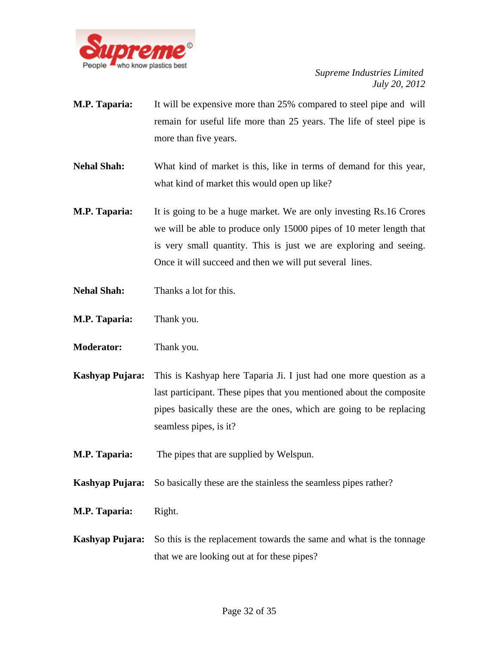

- **M.P. Taparia:** It will be expensive more than 25% compared to steel pipe and will remain for useful life more than 25 years. The life of steel pipe is more than five years.
- **Nehal Shah:** What kind of market is this, like in terms of demand for this year, what kind of market this would open up like?
- **M.P. Taparia:** It is going to be a huge market. We are only investing Rs.16 Crores we will be able to produce only 15000 pipes of 10 meter length that is very small quantity. This is just we are exploring and seeing. Once it will succeed and then we will put several lines.
- **Nehal Shah:** Thanks a lot for this.
- **M.P. Taparia:** Thank you.
- **Moderator:** Thank you.
- **Kashyap Pujara:** This is Kashyap here Taparia Ji. I just had one more question as a last participant. These pipes that you mentioned about the composite pipes basically these are the ones, which are going to be replacing seamless pipes, is it?
- **M.P. Taparia:** The pipes that are supplied by Welspun.
- **Kashyap Pujara:** So basically these are the stainless the seamless pipes rather?
- **M.P. Taparia:** Right.
- **Kashyap Pujara:** So this is the replacement towards the same and what is the tonnage that we are looking out at for these pipes?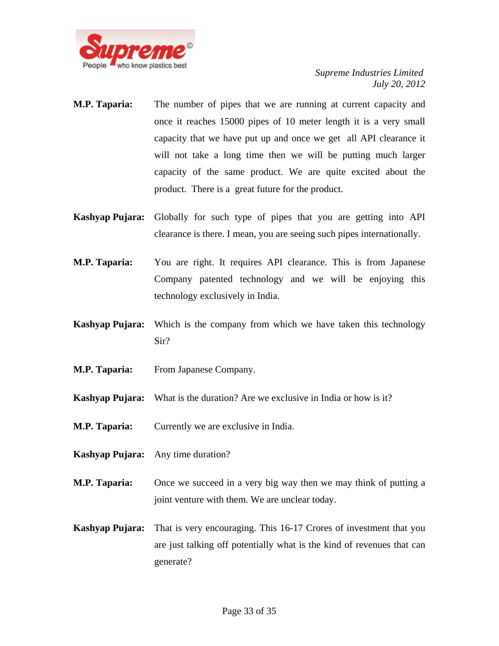

- **M.P. Taparia:** The number of pipes that we are running at current capacity and once it reaches 15000 pipes of 10 meter length it is a very small capacity that we have put up and once we get all API clearance it will not take a long time then we will be putting much larger capacity of the same product. We are quite excited about the product. There is a great future for the product.
- **Kashyap Pujara:** Globally for such type of pipes that you are getting into API clearance is there. I mean, you are seeing such pipes internationally.
- **M.P. Taparia:** You are right. It requires API clearance. This is from Japanese Company patented technology and we will be enjoying this technology exclusively in India.
- **Kashyap Pujara:** Which is the company from which we have taken this technology Sir?
- **M.P. Taparia:** From Japanese Company.
- **Kashyap Pujara:** What is the duration? Are we exclusive in India or how is it?
- **M.P. Taparia:** Currently we are exclusive in India.
- **Kashyap Pujara:** Any time duration?
- **M.P. Taparia:** Once we succeed in a very big way then we may think of putting a joint venture with them. We are unclear today.
- **Kashyap Pujara:** That is very encouraging. This 16-17 Crores of investment that you are just talking off potentially what is the kind of revenues that can generate?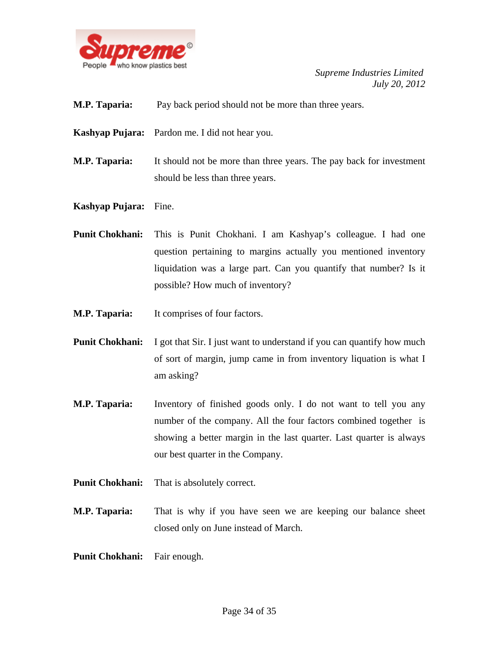

- **M.P. Taparia:** Pay back period should not be more than three years.
- **Kashyap Pujara:** Pardon me. I did not hear you.
- **M.P. Taparia:** It should not be more than three years. The pay back for investment should be less than three years.
- **Kashyap Pujara:** Fine.
- **Punit Chokhani:** This is Punit Chokhani. I am Kashyap's colleague. I had one question pertaining to margins actually you mentioned inventory liquidation was a large part. Can you quantify that number? Is it possible? How much of inventory?
- **M.P. Taparia:** It comprises of four factors.
- **Punit Chokhani:** I got that Sir. I just want to understand if you can quantify how much of sort of margin, jump came in from inventory liquation is what I am asking?
- **M.P. Taparia:** Inventory of finished goods only. I do not want to tell you any number of the company. All the four factors combined together is showing a better margin in the last quarter. Last quarter is always our best quarter in the Company.
- **Punit Chokhani:** That is absolutely correct.
- **M.P. Taparia:** That is why if you have seen we are keeping our balance sheet closed only on June instead of March.
- **Punit Chokhani:** Fair enough.